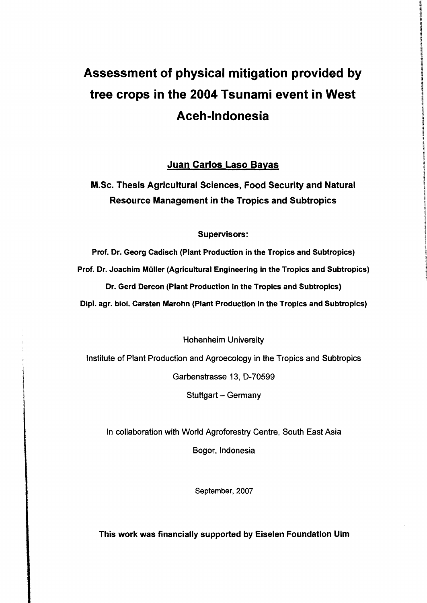# Assessment of physical mitigation provided by tree crops in the 2004 Tsunami event in West Aceh-Indonesia

### Juan Carlos Laso Bayas

## M.Sc. Thesis Agricultural Sciences, Food Security and Natural Resource Management in the Tropics and Subtropics

#### Supervisors:

Prof. Dr. Georg Cadisch (Plant Production in the Tropics and Subtropics) Prof. Dr. Joachim Müller (Agricultural Engineering in the Tropics and Subtropics) Dr. Gerd Dercon (Plant Production in the Tropics and Subtropics) Dipl. agr. biol. Carsten Marohn (Plant Production in the Tropics and Subtropics)

Hohenheim University

Institute of Plant Production and Agroecology in the Tropics and Subtropics

Garbenstrasse 13, D-70599

Stuttgart - Germany

In collaboration with World Agroforestry Centre, South East Asia

Bogor, Indonesia

September, 2007

This work was financially supported by Eiselen Foundation Ulm